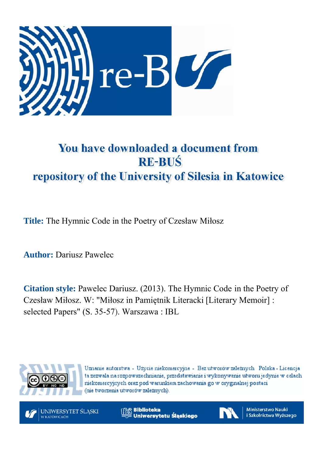

## You have downloaded a document from **RE-BUS** repository of the University of Silesia in Katowice

Title: The Hymnic Code in the Poetry of Czesław M

**Author: Dariusz Pawelec** 

**Citation style:** Pawelec Dariusz. (2013). The Hymnic Code in the Poetry of Czesław Miłosz. W: "Miłosz in Pamiętnik Literacki [Literary Memoir] : selected Papers" (S. 35-57). Warszawa: IBL 'zesław Miłosz<br>he Hymnic Co<br>Literacki [Lite<br>L



Uznanie autorstwa - Użycie niekomercyjne - Bez utworów zależnych Polska - Licencja ta zezwala na rozpowszechnianie, przedstawianie i wykonywanie utworu jedynie w celach niekomercyjnych oraz pod warunkiem zachowania go w oryginalnej postaci (nie tworzenia utworów zależnych).

UNIWERSYTET ŚLĄSKI **V KATOWICACH** 

**Biblioteka** Uniwersytetu Śląskiego



**Ministerstwo Nauki** i Szkolnictwa Wyższego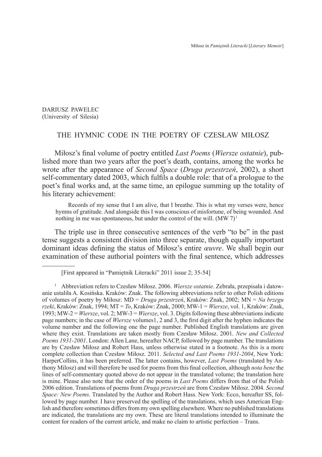DARIUSZ PAWELEC (University of Silesia)

## THE HYMNIC CODE IN THE POETRY OF CZESŁAW MIŁOSZ

Miłosz's final volume of poetry entitled *Last Poems* (*Wiersze ostatnie*), published more than two years after the poet's death, contains, among the works he wrote after the appearance of *Second Space* (*Druga przestrzeń*, 2002), a short self-commentary dated 2003, which fulfils a double role: that of a prologue to the poet's final works and, at the same time, an epilogue summing up the totality of his literary achievement:

Records of my sense that I am alive, that I breathe. This is what my verses were, hence hymns of gratitude. And alongside this I was conscious of misfortune, of being wounded. And nothing in me was spontaneous, but under the control of the will.  $(MW 7)^1$ 

The triple use in three consecutive sentences of the verb "to be" in the past tense suggests a consistent division into three separate, though equally important dominant ideas defining the status of Miłosz's entire *œuvre*. We shall begin our examination of these authorial pointers with the final sentence, which addresses

<sup>[</sup>First appeared in "Pamiętnik Literacki" 2011 issue 2; 35-54]

<sup>1</sup> Abbreviation refers to Czesław Miłosz. 2006. *Wiersze ostatnie*. Zebrała, przepisała i datowanie ustaliła A. Kosińska. Kraków: Znak. The following abbreviations refer to other Polish editions of volumes of poetry by Miłosz: MD = *Druga przestrzeń*, Kraków: Znak, 2002; MN = *Na brzegu rzeki*, Kraków: Znak, 1994; MT = *To*, Kraków: Znak, 2000; MW-1 = *Wiersze*, vol. 1, Kraków: Znak, 1993; MW-2 = *Wiersze*, vol. 2; MW-3 = *Wiersze*, vol. 3. Digits following these abbreviations indicate page numbers; in the case of *Wiersze* volumes1, 2 and 3, the first digit after the hyphen indicates the volume number and the following one the page number. Published English translations are given where they exist. Translations are taken mostly from Czesław Miłosz. 2001. *New and Collected Poems 1931-2001*. London: Allen Lane, hereafter NACP, followed by page number. The translations are by Czesław Miłosz and Robert Hass, unless otherwise stated in a footnote. As this is a more complete collection than Czesław Miłosz. 2011. *Selected and Last Poems 1931-2004*, New York: HarperCollins, it has been preferred. The latter contains, however, *Last Poems* (translated by Anthony Milosz) and will therefore be used for poems from this final collection, although *nota bene* the lines of self-commentary quoted above do not appear in the translated volume; the translation here is mine. Please also note that the order of the poems in *Last Poems* differs from that of the Polish 2006 edition. Translations of poems from *Druga przestrzeń* are from Czesław Miłosz. 2004. *Second Space: New Poems*. Translated by the Author and Robert Hass. New York: Ecco, hereafter SS, followed by page number. I have preserved the spelling of the translations, which uses American English and therefore sometimes differs from my own spelling elsewhere. Where no published translations are indicated, the translations are my own. These are literal translations intended to illuminate the content for readers of the current article, and make no claim to artistic perfection – Trans.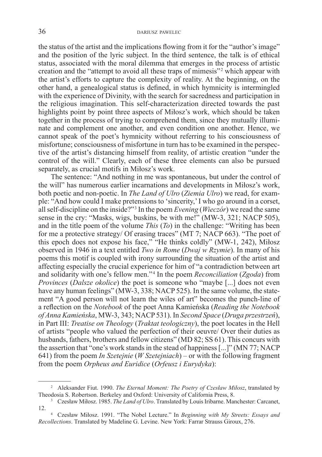the status of the artist and the implications flowing from it for the "author's image" and the position of the lyric subject. In the third sentence, the talk is of ethical status, associated with the moral dilemma that emerges in the process of artistic creation and the "attempt to avoid all these traps of mimesis"<sup>2</sup> which appear with the artist's efforts to capture the complexity of reality. At the beginning, on the other hand, a genealogical status is defined, in which hymnicity is intermingled with the experience of Divinity, with the search for sacredness and participation in the religious imagination. This self-characterization directed towards the past highlights point by point three aspects of Miłosz's work, which should be taken together in the process of trying to comprehend them, since they mutually illuminate and complement one another, and even condition one another. Hence, we cannot speak of the poet's hymnicity without referring to his consciousness of misfortune; consciousness of misfortune in turn has to be examined in the perspective of the artist's distancing himself from reality, of artistic creation "under the control of the will." Clearly, each of these three elements can also be pursued separately, as crucial motifs in Miłosz's work.

The sentence: "And nothing in me was spontaneous, but under the control of the will" has numerous earlier incarnations and developments in Miłosz's work, both poetic and non-poetic. In *The Land of Ulro* (*Ziemia Ulro*) we read, for example: "And how could I make pretensions to 'sincerity,' I who go around in a corset, all self-discipline on the inside?"<sup>3</sup> In the poem *Evening* (*Wieczór*) we read the same sense in the cry: "Masks, wigs, buskins, be with me!" (MW-3, 321; NACP 505), and in the title poem of the volume *This* (*To*) in the challenge: "Writing has been for me a protective strategy/ Of erasing traces" (MT 7; NACP 663). "The poet of this epoch does not expose his face," "He thinks coldly" (MW-1, 242), Miłosz observed in 1946 in a text entitled *Two in Rome* (*Dwaj w Rzymie*). In many of his poems this motif is coupled with irony surrounding the situation of the artist and affecting especially the crucial experience for him of "a contradiction between art and solidarity with one's fellow men."<sup>4</sup> In the poem *Reconciliation* (*Zgoda*) from *Provinces (Dalsze okolice)* the poet is someone who "maybe [...] does not even have any human feelings" (MW-3, 338; NACP 525). In the same volume, the statement "A good person will not learn the wiles of art" becomes the punch-line of a reflection on the *Notebook* of the poet Anna Kamieńska (*Reading the Notebook of Anna Kamieńska*, MW-3, 343; NACP 531). In *Second Space* (*Druga przestrzeń*), in Part III: *Treatise on Theology* (*Traktat teologiczny*), the poet locates in the Hell of artists "people who valued the perfection of their oeuvre/ Over their duties as husbands, fathers, brothers and fellow citizens" (MD 82; SS 61). This concurs with the assertion that "one's work stands in the stead of happiness [...]" (MN 77; NACP 641) from the poem *In Szetejnie* (*W Szetejniach*) – or with the following fragment from the poem *Orpheus and Euridice* (*Orfeusz i Eurydyka*):

<sup>2</sup> Aleksander Fiut. 1990. *The Eternal Moment: The Poetry of Czesław Miłosz*, translated by Theodosia S. Robertson. Berkeley and Oxford: University of California Press, 8.

<sup>3</sup> Czesław Miłosz. 1985. *The Land of Ulro*. Translated by Louis Iribarne. Manchester: Carcanet, 12.

<sup>4</sup> Czesław Miłosz. 1991. "The Nobel Lecture." In *Beginning with My Streets: Essays and Recollections*. Translated by Madeline G. Levine. New York: Farrar Strauss Giroux, 276.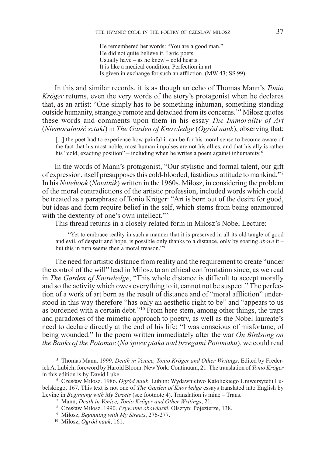He remembered her words: "You are a good man." He did not quite believe it. Lyric poets Usually have – as he knew – cold hearts. It is like a medical condition. Perfection in art Is given in exchange for such an affliction. (MW 43; SS 99)

In this and similar records, it is as though an echo of Thomas Mann's *Tonio Kröger* returns, even the very words of the story's protagonist when he declares that, as an artist: "One simply has to be something inhuman, something standing outside humanity, strangely remote and detached from its concerns."<sup>5</sup> Miłosz quotes these words and comments upon them in his essay *The Immorality of Art*  (*Niemoralność sztuki*) in *The Garden of Knowledge* (*Ogród nauk*), observing that:

[...] the poet had to experience how painful it can be for his moral sense to become aware of the fact that his most noble, most human impulses are not his allies, and that his ally is rather his "cold, exacting position" – including when he writes a poem against inhumanity.<sup>6</sup>

In the words of Mann's protagonist, "Our stylistic and formal talent, our gift of expression, itself presupposes this cold-blooded, fastidious attitude to mankind." <sup>7</sup> In his *Notebook* (*Notatnik*) written in the 1960s, Miłosz, in considering the problem of the moral contradictions of the artistic profession, included words which could be treated as a paraphrase of Tonio Kröger: "Art is born out of the desire for good, but ideas and form require belief in the self, which stems from being enamoured with the dexterity of one's own intellect."<sup>8</sup>

This thread returns in a closely related form in Miłosz's Nobel Lecture:

"Yet to embrace reality in such a manner that it is preserved in all its old tangle of good and evil, of despair and hope, is possible only thanks to a distance, only by soaring *above* it – but this in turn seems then a moral treason."<sup>9</sup>

The need for artistic distance from reality and the requirement to create "under the control of the will" lead in Miłosz to an ethical confrontation since, as we read in *The Garden of Knowledge*, "This whole distance is difficult to accept morally and so the activity which owes everything to it, cannot not be suspect." The perfection of a work of art born as the result of distance and of "moral affliction" understood in this way therefore "has only an aesthetic right to be" and "appears to us as burdened with a certain debt."<sup>10</sup> From here stem, among other things, the traps and paradoxes of the mimetic approach to poetry, as well as the Nobel laureate's need to declare directly at the end of his life: "I was conscious of misfortune, of being wounded." In the poem written immediately after the war *On Birdsong on the Banks of the Potomac* (*Na śpiew ptaka nad brzegami Potomaku*), we could read

<sup>5</sup> Thomas Mann. 1999. *Death in Venice, Tonio Kröger and Other Writings*. Edited by Frederick A. Lubich; foreword by Harold Bloom. New York: Continuum, 21. The translation of *Tonio Kröger*  in this edition is by David Luke. 6 Czesław Miłosz. 1986. *Ogród nauk*. Lublin: Wydawnictwo Katolickiego Uniwersytetu Lu-

belskiego, 167. This text is not one of *The Garden of Knowledge* essays translated into English by Levine in *Beginning with My Streets* (see footnote 4). Translation is mine – Trans.<br><sup>7</sup> Mann, *Death in Venice*, *Tonio Kröger and Other Writings*, 21.<br><sup>8</sup> Czesław Miłosz. 1990. *Prywatne obowiązki*. Olsztyn: Pojezierze,

<sup>10</sup> Miłosz, *Ogród nauk*, 161.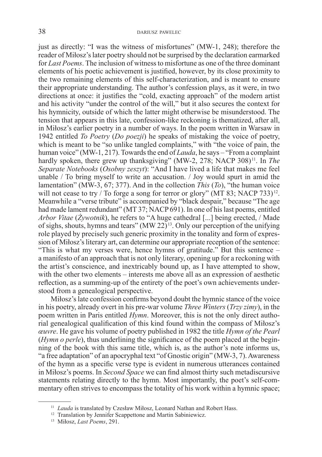just as directly: "I was the witness of misfortunes" (MW-1, 248); therefore the reader of Miłosz's later poetry should not be surprised by the declaration earmarked for *Last Poems*. The inclusion of witness to misfortune as one of the three dominant elements of his poetic achievement is justified, however, by its close proximity to the two remaining elements of this self-characterization, and is meant to ensure their appropriate understanding. The author's confession plays, as it were, in two directions at once: it justifies the "cold, exacting approach" of the modern artist and his activity "under the control of the will," but it also secures the context for his hymnicity, outside of which the latter might otherwise be misunderstood. The tension that appears in this late, confession-like reckoning is thematized, after all, in Miłosz's earlier poetry in a number of ways. In the poem written in Warsaw in 1942 entitled *To Poetry* (*Do poezji*) he speaks of mistaking the voice of poetry, which is meant to be "so unlike tangled complaints," with "the voice of pain, the human voice" (MW-1, 217). Towards the end of *Lauda*, he says – "From a complaint hardly spoken, there grew up thanksgiving" (MW-2, 278; NACP 308)<sup>11</sup>. In *The Separate Notebooks* (*Osobny zeszyt*): "And I have lived a life that makes me feel unable / To bring myself to write an accusation. / Joy would spurt in amid the lamentation" (MW-3, 67; 377). And in the collection *This* (*To*), "the human voice will not cease to try / To forge a song for terror or glory" (MT 83; NACP 733)<sup>12</sup>. Meanwhile a "verse tribute" is accompanied by "black despair," because "The age had made lament redundant" (MT 37; NACP 691). In one of his last poems, entitled *Arbor Vitae* (*Żywotnik*), he refers to "A huge cathedral [...] being erected, / Made of sighs, shouts, hymns and tears"  $(MW 22)^{13}$ . Only our perception of the unifying role played by precisely such generic proximity in the tonality and form of expression of Miłosz's literary art, can determine our appropriate reception of the sentence: "This is what my verses were, hence hymns of gratitude." But this sentence – a manifesto of an approach that is not only literary, opening up for a reckoning with the artist's conscience, and inextricably bound up, as I have attempted to show, with the other two elements – interests me above all as an expression of aesthetic reflection, as a summing-up of the entirety of the poet's own achievements understood from a genealogical perspective.

Miłosz's late confession confirms beyond doubt the hymnic stance of the voice in his poetry, already overt in his pre-war volume *Three Winters* (*Trzy zimy*), in the poem written in Paris entitled *Hymn*. Moreover, this is not the only direct authorial genealogical qualification of this kind found within the compass of Miłosz's *œuvre*. He gave his volume of poetry published in 1982 the title *Hymn of the Pearl*  (*Hymn o perle*), thus underlining the significance of the poem placed at the beginning of the book with this same title, which is, as the author's note informs us, "a free adaptation" of an apocryphal text "of Gnostic origin" (MW-3, 7). Awareness of the hymn as a specific verse type is evident in numerous utterances contained in Miłosz's poems. In *Second Space* we can find almost thirty such metadiscursive statements relating directly to the hymn. Most importantly, the poet's self-commentary often strives to encompass the totality of his work within a hymnic space;

<sup>&</sup>lt;sup>11</sup> *Lauda* is translated by Czesław Miłosz, Leonard Nathan and Robert Hass.

<sup>12</sup> Translation by Jennifer Scappettone and Martin Sabiniewicz. 13 Miłosz, *Last Poems*, 291.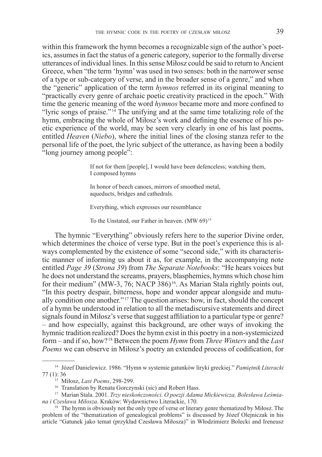within this framework the hymn becomes a recognizable sign of the author's poetics, assumes in fact the status of a generic category, superior to the formally diverse utterances of individual lines. In this sense Miłosz could be said to return to Ancient Greece, when "the term 'hymn' was used in two senses: both in the narrower sense of a type or sub-category of verse, and in the broader sense of a genre," and when the "generic" application of the term *hymnos* referred in its original meaning to "practically every genre of archaic poetic creativity practiced in the epoch." With time the generic meaning of the word *hymnos* became more and more confined to "lyric songs of praise." $14$  The unifying and at the same time totalizing role of the hymn, embracing the whole of Miłosz's work and defining the essence of his poetic experience of the world, may be seen very clearly in one of his last poems, entitled *Heaven* (*Niebo*), where the initial lines of the closing stanza refer to the personal life of the poet, the lyric subject of the utterance, as having been a bodily "long journey among people":

> If not for them [people], I would have been defenceless; watching them, I composed hymns

In honor of beech canoes, mirrors of smoothed metal, aqueducts, bridges and cathedrals.

Everything, which expresses our resemblance

To the Unstated, our Father in heaven. (MW 69)<sup>15</sup>

The hymnic "Everything" obviously refers here to the superior Divine order, which determines the choice of verse type. But in the poet's experience this is always complemented by the existence of some "second side," with its characteristic manner of informing us about it as, for example, in the accompanying note entitled *Page 39* (*Strona 39*) from *The Separate Notebooks*: "He hears voices but he does not understand the screams, prayers, blasphemies, hymns which chose him for their medium" (MW-3, 76; NACP 386)<sup>16</sup>. As Marian Stala rightly points out, "In this poetry despair, bitterness, hope and wonder appear alongside and mutually condition one another."17 The question arises: how, in fact, should the concept of a hymn be understood in relation to all the metadiscursive statements and direct signals found in Miłosz's verse that suggest affiliation to a particular type or genre? – and how especially, against this background, are other ways of invoking the hymnic tradition realized? Does the hymn exist in this poetry in a non-systemicized form – and if so, how?18 Between the poem *Hymn* from *Three Winters* and the *Last Poems* we can observe in Miłosz's poetry an extended process of codification, for

<sup>14</sup> Józef Danielewicz. 1986. "Hymn w systemie gatunków liryki greckiej." *Pamiętnik Literacki*  77 (1): 36

<sup>15</sup> Miłosz, *Last Poems*, 298-299.

<sup>&</sup>lt;sup>16</sup> Translation by Renata Gorczynski (sic) and Robert Hass.

<sup>17</sup> Marian Stala. 2001. *Trzy nieskończoności. O poezji Adama Mickiewicza, Bolesława Leśmiana i Czesława Miłosza*. Kraków: Wydawnictwo Literackie, 170.

<sup>&</sup>lt;sup>18</sup> The hymn is obviously not the only type of verse or literary genre thematized by Miłosz. The problem of the "thematization of genealogical problems" is discussed by Józef Olejniczak in his article "Gatunek jako temat (przykład Czesława Miłosza)" in Włodzimierz Bolecki and Ireneusz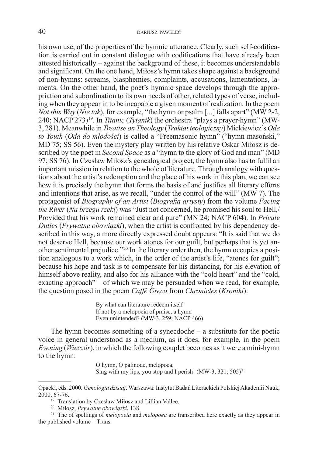his own use, of the properties of the hymnic utterance. Clearly, such self-codification is carried out in constant dialogue with codifications that have already been attested historically – against the background of these, it becomes understandable and significant. On the one hand, Miłosz's hymn takes shape against a background of non-hymns: screams, blasphemies, complaints, accusations, lamentations, laments. On the other hand, the poet's hymnic space develops through the appropriation and subordination to its own needs of other, related types of verse, including when they appear in to be incapable a given moment of realization. In the poem *Not this Way* (*Nie tak*), for example, "the hymn or psalm [...] falls apart" (MW 2-2, 240; NACP 273)19. In *Titanic* (*Tytanik*) the orchestra "plays a prayer-hymn" (MW-3, 281). Meanwhile in *Treatise on Theology* (*Traktat teologiczny*) Mickiewicz's *Ode to Youth* (*Oda do młodości*) is called a "Freemasonic hymn" ("hymn masoński," MD 75; SS 56). Even the mystery play written by his relative Oskar Miłosz is described by the poet in *Second Space* as a "hymn to the glory of God and man" (MD 97; SS 76). In Czesław Miłosz's genealogical project, the hymn also has to fulfil an important mission in relation to the whole of literature. Through analogy with questions about the artist's redemption and the place of his work in this plan, we can see how it is precisely the hymn that forms the basis of and justifies all literary efforts and intentions that arise, as we recall, "under the control of the will" (MW 7). The protagonist of *Biography of an Artist* (*Biografia artysty*) from the volume *Facing the River* (*Na brzegu rzeki*) was "Just not concerned, he promised his soul to Hell,/ Provided that his work remained clear and pure" (MN 24; NACP 604). In *Private Duties* (*Prywatne obowiązki*), when the artist is confronted by his dependency described in this way, a more directly expressed doubt appears: "It is said that we do not deserve Hell, because our work atones for our guilt, but perhaps that is yet another sentimental prejudice."20 In the literary order then, the hymn occupies a position analogous to a work which, in the order of the artist's life, "atones for guilt"; because his hope and task is to compensate for his distancing, for his elevation of himself above reality, and also for his alliance with the "cold heart" and the "cold, exacting approach" – of which we may be persuaded when we read, for example, the question posed in the poem *Caffé Greco* from *Chronicles* (*Kroniki*):

> By what can literature redeem itself If not by a melopoeia of praise, a hymn Even unintended? (MW-3, 259; NACP 466)

The hymn becomes something of a synecdoche – a substitute for the poetic voice in general understood as a medium, as it does, for example, in the poem *Evening* (*Wieczór*), in which the following couplet becomes as it were a mini-hymn to the hymn:

> O hymn, O palinode, melopoea, Sing with my lips, you stop and I perish! (MW-3, 321; 505)<sup>21</sup>

- <sup>19</sup> Translation by Czesław Miłosz and Lillian Vallee.
- <sup>20</sup> Miłosz, *Prywatne obowiązki*, 138.

Opacki, eds. 2000. *Genologia dzisiaj*. Warszawa: Instytut Badań Literackich Polskiej Akademii Nauk, 2000, 67-76.

<sup>21</sup> The of spellings of *melopoeia* and *melopoea* are transcribed here exactly as they appear in the published volume – Trans.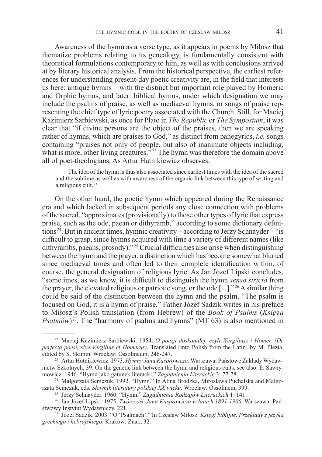Awareness of the hymn as a verse type, as it appears in poems by Miłosz that thematize problems relating to its genealogy, is fundamentally consistent with theoretical formulations contemporary to him, as well as with conclusions arrived at by literary historical analysis. From the historical perspective, the earliest references for understanding present-day poetic creativity are, in the field that interests us here: antique hymns – with the distinct but important role played by Homeric and Orphic hymns, and later: biblical hymns, under which designation we may include the psalms of praise, as well as mediaeval hymns, or songs of praise representing the chief type of lyric poetry associated with the Church. Still, for Maciej Kazimierz Sarbiewski, as once for Plato in *The Republic* or *The Symposium*, it was clear that "if divine persons are the object of the praises, then we are speaking rather of hymns, which are praises to God," as distinct from panegyrics, *i.e.* songs containing "praises not only of people, but also of inanimate objects including, what is more, other living creatures.<sup> $\frac{322}{2}$ </sup> The hymn was therefore the domain above all of poet-theologians. As Artur Hutnikiewicz observes:

The idea of the hymn is thus also associated since earliest times with the idea of the sacred and the sublime as well as with awareness of the organic link between this type of writing and a religious cult.<sup>23</sup>

On the other hand, the poetic hymn which appeared during the Renaissance era and which lacked in subsequent periods any close connection with problems of the sacred, "approximates (provisionally) to those other types of lyric that express praise, such as the ode, paean or dithyramb," according to some dictionary defini $tions<sup>24</sup>$ . But in ancient times, hymnic creativity – according to Jerzy Schnayder – "is difficult to grasp, since hymns acquired with time a variety of different names (like dithyrambs, paeans, prosody)."<sup>25</sup> Crucial difficulties also arise when distinguishing between the hymn and the prayer, a distinction which has become somewhat blurred since mediaeval times and often led to their complete identification within, of course, the general designation of religious lyric. As Jan Józef Lipski concludes, "sometimes, as we know, it is difficult to distinguish the hymn *senso stricto* from the prayer, the elevated religious or patriotic song, or the ode [...]."<sup>26</sup> A similar thing could be said of the distinction between the hymn and the psalm. "The psalm is focused on God, it is a hymn of praise," Father Józef Sadzik writes in his preface to Miłosz's Polish translation (from Hebrew) of the *Book of Psalms* (*Księga Psalmów*)<sup>27</sup>. The "harmony of psalms and hymns" (MT 63) is also mentioned in

<sup>22</sup> Maciej Kazimierz Sarbiewski. 1954. *O poezji doskonałej, czyli Wergiliusz i Homer. (De perfecta poesi, sive Vergilius et Homerus)*. Translated [into Polish from the Latin] by M. Plezia, edited by S. Skimin. Wrocław: Ossolineum, 246-247.

<sup>23</sup> Artur Hutnikiewicz. 1973. *Hymny Jana Kasprowicza*. Warszawa: Państowe Zakłady Wydawnictw Szkolnych, 39. On the genetic link between the hymn and religious cults, see also: E. Sawrymowicz. 1946. "Hymn jako gatunek literacki." *Zagadnienia Literackie* 3: 77-78.

<sup>24</sup> Małgorzata Semczuk. 1992. "Hymn." In Alina Brodzka, Mirosława Puchalska and Małgorzata Semczuk, eds. *Słownik literatury polskiej XX wieku*. Wrocław: Ossolinem, 399.

<sup>25</sup> Jerzy Schnayder. 1960. "Hymn." *Zagadnienia Rodzajów Literackich* 1: 141.

<sup>26</sup> Jan Józef Lipski. 1975. *Twórczość Jana Kasprowicza w latach 1891-1906*. Warszawa: Państwowy Instytut Wydawniczy, 221.

<sup>27</sup> Józef Sadzik. 2003. "O 'Psalmach'." In Czesław Miłosz. *Księgi biblijne*. *Przekłady z języka greckiego i hebrajskiego*. Kraków: Znak, 32.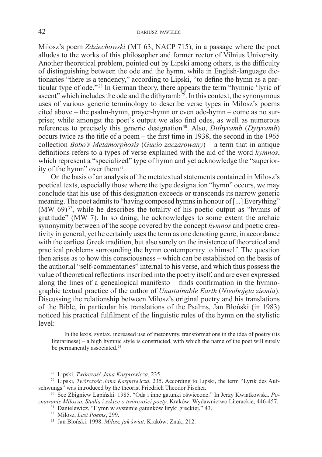Miłosz's poem *Zdziechowski* (MT 63; NACP 715), in a passage where the poet alludes to the works of this philosopher and former rector of Vilnius University. Another theoretical problem, pointed out by Lipski among others, is the difficulty of distinguishing between the ode and the hymn, while in English-language dictionaries "there is a tendency," according to Lipski, "to define the hymn as a particular type of ode."<sup>28</sup> In German theory, there appears the term "hymnic 'lyric of ascent" which includes the ode and the dithyramb<sup>29</sup>. In this context, the synonymous uses of various generic terminology to describe verse types in Miłosz's poems cited above – the psalm-hymn, prayer-hymn or even ode-hymn – come as no surprise; while amongst the poet's output we also find odes, as well as numerous references to precisely this generic designation<sup>30</sup>. Also, *Dithyramb* (*Dytyramb*) occurs twice as the title of a poem – the first time in 1938, the second in the 1965 collection *Bobo's Metamorphosis* (*Gucio zaczarowany*) – a term that in antique definitions refers to a types of verse explained with the aid of the word *hymnos*, which represent a "specialized" type of hymn and yet acknowledge the "superiority of the hymn" over them $31$ .

On the basis of an analysis of the metatextual statements contained in Miłosz's poetical texts, especially those where the type designation "hymn" occurs, we may conclude that his use of this designation exceeds or transcends its narrow generic meaning. The poet admits to "having composed hymns in honour of [...] Everything"  $(MW 69)^{32}$ , while he describes the totality of his poetic output as "hymns of gratitude" (MW 7). In so doing, he acknowledges to some extent the archaic synonymity between of the scope covered by the concept *hymnos* and poetic creativity in general, yet he certainly uses the term as one denoting genre, in accordance with the earliest Greek tradition, but also surely on the insistence of theoretical and practical problems surrounding the hymn contemporary to himself. The question then arises as to how this consciousness – which can be established on the basis of the authorial "self-commentaries" internal to his verse, and which thus possess the value of theoretical reflections inscribed into the poetry itself, and are even expressed along the lines of a genealogical manifesto – finds confirmation in the hymnographic textual practice of the author of *Unattainable Earth* (*Nieobojęta ziemia*). Discussing the relationship between Miłosz's original poetry and his translations of the Bible, in particular his translations of the Psalms, Jan Błoński (in 1983) noticed his practical fulfilment of the linguistic rules of the hymn on the stylistic level:

In the lexis, syntax, increased use of metonymy, transformations in the idea of poetry (its literariness) – a high hymnic style is constructed, with which the name of the poet will surely be permanently associated.<sup>33</sup>

<sup>&</sup>lt;sup>28</sup> Lipski, *Twórczość Jana Kasprowicza*, 235.<br><sup>29</sup> Lipski, *Twórczość Jana Kasprowicza*, 235. According to Lipski, the term "Lyrik des Aufschwungs" was introduced by the theorist Friedrich Theodor Fischer.

<sup>30</sup> See Zbigniew Łapiński. 1985. "Oda i inne gatunki oświecone." In Jerzy Kwiatkowski. *Poznawanie Miłosza. Studia i szkice o twórczości poety*. Kraków: Wydawnictwo Literackie, 446-457.

<sup>31</sup> Danielewicz, "Hymn w systemie gatunków liryki greckiej," 43.

<sup>32</sup> Miłosz, *Last Poems*, 299.

<sup>33</sup> Jan Błoński. 1998. *Miłosz jak świat*. Kraków: Znak, 212.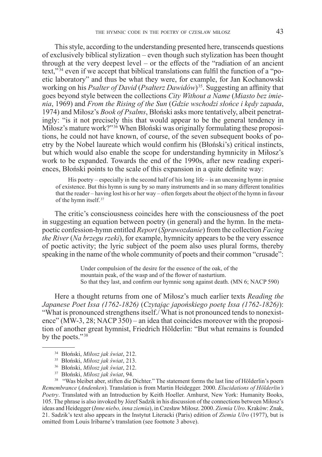This style, according to the understanding presented here, transcends questions of exclusively biblical stylization – even though such stylization has been thought through at the very deepest level – or the effects of the "radiation of an ancient text,"<sup>34</sup> even if we accept that biblical translations can fulfil the function of a "poetic laboratory" and thus be what they were, for example, for Jan Kochanowski working on his *Psalter of David* (*Psałterz Dawidów*)35. Suggesting an affinity that goes beyond style between the collections *City Without a Name* (*Miasto bez imienia*, 1969) and *From the Rising of the Sun* (*Gdzie wschodzi słońce i kędy zapada*, 1974) and Miłosz's *Book of Psalms*, Błoński asks more tentatively, albeit penetratingly: "is it not precisely this that would appear to be the general tendency in Miłosz's mature work?"36 When Błoński was originally formulating these propositions, he could not have known, of course, of the seven subsequent books of poetry by the Nobel laureate which would confirm his (Błoński's) critical instincts, but which would also enable the scope for understanding hymnicity in Miłosz's work to be expanded. Towards the end of the 1990s, after new reading experiences, Błoński points to the scale of this expansion in a quite definite way:

His poetry – especially in the second half of his long life – is an unceasing hymn in praise of existence. But this hymn is sung by so many instruments and in so many different tonalities that the reader – having lost his or her way – often forgets about the object of the hymn in favour of the hymn itself.<sup>37</sup>

The critic's consciousness coincides here with the consciousness of the poet in suggesting an equation between poetry (in general) and the hymn. In the metapoetic confession-hymn entitled *Report* (*Sprawozdanie*) from the collection *Facing the River* (*Na brzegu rzeki*), for example, hymnicity appears to be the very essence of poetic activity; the lyric subject of the poem also uses plural forms, thereby speaking in the name of the whole community of poets and their common "crusade":

> Under compulsion of the desire for the essence of the oak, of the mountain peak, of the wasp and of the flower of nasturtium. So that they last, and confirm our hymnic song against death. (MN 6; NACP 590)

Here a thought returns from one of Miłosz's much earlier texts *Reading the Japanese Poet Issa (1762-1826)* (*Czytając japońskiego poetę Issa (1762-1826)*): "What is pronounced strengthens itself./ What is not pronounced tends to nonexistence" (MW-3, 28; NACP 350) – an idea that coincides moreover with the proposition of another great hymnist, Friedrich Hölderlin: "But what remains is founded by the poets."<sup>38</sup>

<sup>37</sup> Błoński, *Miłosz jak świat*, 94.

<sup>38</sup> "Was bleibet aber, stiften die Dichter." The statement forms the last line of Hölderlin's poem *Remembrance* (*Andenken*). Translation is from Martin Heidegger. 2000. *Elucidations of Hölderlin's Poetry*. Translated with an Introduction by Keith Hoeller. Amhurst, New York: Humanity Books, 105. The phrase is also invoked by Józef Sadzik in his discussion of the connections between Miłosz's ideas and Heidegger (*Inne niebo, inna ziemia*), in Czesław Miłosz. 2000. *Ziemia Ulro*. Kraków: Znak, 21. Sadzik's text also appears in the Instytut Literacki (Paris) edition of *Ziemia Ulro* (1977), but is omitted from Louis Iribarne's translation (see footnote 3 above).

<sup>34</sup> Błoński, *Miłosz jak świat*, 212.

<sup>35</sup> Błoński, *Miłosz jak świat*, 213.

<sup>36</sup> Błoński, *Miłosz jak świat*, 212.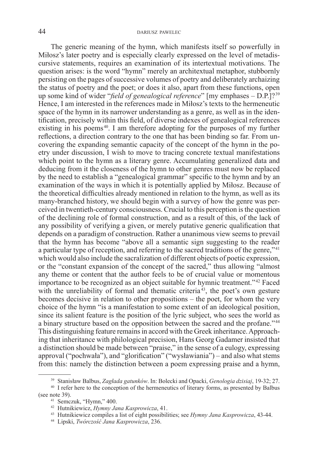The generic meaning of the hymn, which manifests itself so powerfully in Miłosz's later poetry and is especially clearly expressed on the level of metadiscursive statements, requires an examination of its intertextual motivations. The question arises: is the word "hymn" merely an architextual metaphor, stubbornly persisting on the pages of successive volumes of poetry and deliberately archaizing the status of poetry and the poet; or does it also, apart from these functions, open up some kind of wider "*field of genealogical reference*" [my emphases – D.P.]? <sup>39</sup> Hence, I am interested in the references made in Miłosz's texts to the hermeneutic space of the hymn in its narrower understanding as a genre, as well as in the identification, precisely within this field, of diverse indexes of genealogical references existing in his poems $40$ . I am therefore adopting for the purposes of my further reflections, a direction contrary to the one that has been binding so far. From uncovering the expanding semantic capacity of the concept of the hymn in the poetry under discussion, I wish to move to tracing concrete textual manifestations which point to the hymn as a literary genre. Accumulating generalized data and deducing from it the closeness of the hymn to other genres must now be replaced by the need to establish a "genealogical grammar" specific to the hymn and by an examination of the ways in which it is potentially applied by Miłosz. Because of the theoretical difficulties already mentioned in relation to the hymn, as well as its many-branched history, we should begin with a survey of how the genre was perceived in twentieth-century consciousness. Crucial to this perception is the question of the declining role of formal construction, and as a result of this, of the lack of any possibility of verifying a given, or merely putative generic qualification that depends on a paradigm of construction. Rather a unanimous view seems to prevail that the hymn has become "above all a semantic sign suggesting to the reader a particular type of reception, and referring to the sacred traditions of the genre,"<sup>41</sup> which would also include the sacralization of different objects of poetic expression, or the "constant expansion of the concept of the sacred," thus allowing "almost any theme or content that the author feels to be of crucial value or momentous importance to be recognized as an object suitable for hymnic treatment."42 Faced with the unreliability of formal and thematic criteria<sup> $43$ </sup>, the poet's own gesture becomes decisive in relation to other propositions – the poet, for whom the very choice of the hymn "is a manifestation to some extent of an ideological position, since its salient feature is the position of the lyric subject, who sees the world as a binary structure based on the opposition between the sacred and the profane." <sup>44</sup> This distinguishing feature remains in accord with the Greek inheritance. Approaching that inheritance with philological precision, Hans Georg Gadamer insisted that a distinction should be made between "praise," in the sense of a eulogy, expressing approval ("pochwała"), and "glorification" ("wysławiania") – and also what stems from this: namely the distinction between a poem expressing praise and a hymn,

<sup>39</sup> Stanisław Balbus, *Zagłada gatunków*. In: Bolecki and Opacki, *Genologia dzisiaj*, 19-32; 27.

<sup>&</sup>lt;sup>40</sup> I refer here to the conception of the hermeneutics of literary forms, as presented by Balbus (see note 39).

<sup>41</sup> Semczuk, "Hymn," 400.

<sup>42</sup> Hutnikiewicz, *Hymny Jana Kasprowicza*, 41.

<sup>43</sup> Hutnikiewicz compiles a list of eight possibilities; see *Hymny Jana Kasprowicza*, 43-44.

<sup>44</sup> Lipski, *Twórczość Jana Kasprowicza*, 236.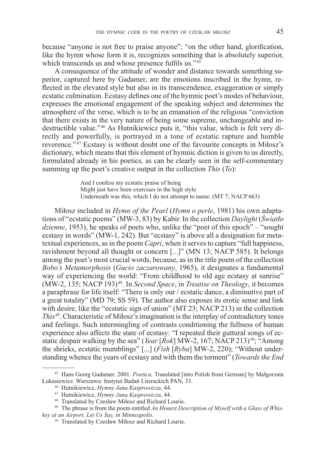because "anyone is not free to praise anyone"; "on the other hand, glorification, like the hymn whose form it is, recognizes something that is absolutely superior, which transcends us and whose presence fulfils us."<sup>45</sup>

A consequence of the attitude of wonder and distance towards something superior, captured here by Gadamer, are the emotions inscribed in the hymn, reflected in the elevated style but also in its transcendence, exaggeration or simply ecstatic culmination. Ecstasy defines one of the hymnic poet's modes of behaviour, expresses the emotional engagement of the speaking subject and determines the atmosphere of the verse, which is to be an emanation of the religious "conviction that there exists in the very nature of being some supreme, unchangeable and indestructible value."46 As Hutnikiewicz puts it, "this value, which is felt very directly and powerfully, is portrayed in a tone of ecstatic rapture and humble reverence."<sup>47</sup> Ecstasy is without doubt one of the favourite concepts in Miłosz's dictionary, which means that this element of hymnic diction is given to us directly, formulated already in his poetics, as can be clearly seen in the self-commentary summing up the poet's creative output in the collection *This* (*To*):

> And I confess my ecstatic praise of being Might just have been exercises in the high style. Underneath was this, which I do not attempt to name. (MT 7; NACP 663)

Miłosz included in *Hymn of the Pearl* (*Hymn o perle*, 1981) his own adaptations of "ecstatic poems" (MW-3, 83) by Kabir. In the collection *Daylight* (*Światło dzienne*, 1953), he speaks of poets who, unlike the "poet of this epoch" – "sought ecstasy in words" (MW-1, 242). But "ecstasy" is above all a designation for metatextual experiences, as in the poem *Capri*, when it serves to capture "full happiness, ravishment beyond all thought or concern [...]" (MN 13; NACP 585). It belongs among the poet's most crucial words, because, as in the title poem of the collection *Bobo's Metamorphosis* (*Gucio zaczarowany*, 1965), it designates a fundamental way of experiencing the world: "From childhood to old age ecstasy at sunrise" (MW-2, 135; NACP 193) 48. In *Second Space*, in *Treatise on Theology*, it becomes a paraphrase for life itself: "There is only our / ecstatic dance, a diminutive part of a great totality" (MD 79; SS 59). The author also exposes its erotic sense and link with desire, like the "ecstatic sign of union" (MT 23; NACP 213) in the collection *This*<sup>49</sup>. Characteristic of Miłosz's imagination is the interplay of contradictory tones and feelings. Such intermingling of contrasts conditioning the fullness of human experience also affects the state of ecstasy: "I repeated their guttural songs of ecstatic despair walking by the sea" (*Year* [*Rok*] MW-2, 167; NACP 213) <sup>50</sup>; "Among the shrieks, ecstatic mumblings" [...] (*Fish* [*Ryba*] MW-2, 220); "Without understanding whence the years of ecstasy and with them the torment" (*Towards the End* 

<sup>45</sup> Hans Georg Gadamer. 2001. *Poetica*. Translated [into Polish from German] by Małgorzata Łukasiewicz. Warszawa: Instytut Badań Literackich PAN, 33.

<sup>46</sup> Hutnikiewicz, *Hymny Jana Kasprowicza*, 44.

<sup>47</sup> Hutnikiewicz, *Hymny Jana Kasprowicza*, 44.

<sup>48</sup> Translated by Czesław Miłosz and Richard Lourie.

<sup>49</sup> The phrase is from the poem entitled *An Honest Description of Myself with a Glass of Whiskey at an Airport, Let Us Say, in Minneapolis*.

<sup>50</sup> Translated by Czesław Miłosz and Richard Lourie.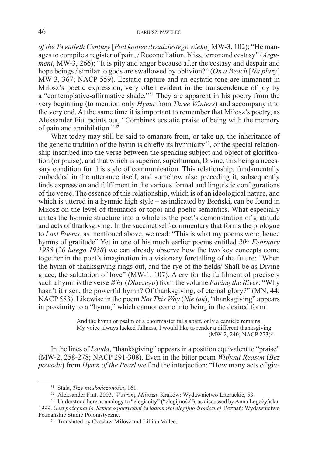*of the Twentieth Century* [*Pod koniec dwudziestego wieku*] MW-3, 102); "He manages to compile a register of pain, / Reconciliation, bliss, terror and ecstasy" (*Argument*, MW-3, 266); "It is pity and anger because after the ecstasy and despair and hope beings / similar to gods are swallowed by oblivion?" (*On a Beach* [*Na plaży*] MW-3, 367; NACP 559). Ecstatic rapture and an ecstatic tone are immanent in Miłosz's poetic expression, very often evident in the transcendence of joy by a "contemplative-affirmative shade."51 They are apparent in his poetry from the very beginning (to mention only *Hymn* from *Three Winters*) and accompany it to the very end. At the same time it is important to remember that Miłosz's poetry, as Aleksander Fiut points out, "Combines ecstatic praise of being with the memory of pain and annihilation."<sup>52</sup>

What today may still be said to emanate from, or take up, the inheritance of the generic tradition of the hymn is chiefly its hymnicity<sup>53</sup>, or the special relationship inscribed into the verse between the speaking subject and object of glorification (or praise), and that which is superior, superhuman, Divine, this being a necessary condition for this style of communication. This relationship, fundamentally embedded in the utterance itself, and somehow also preceding it, subsequently finds expression and fulfilment in the various formal and linguistic configurations of the verse. The essence of this relationship, which is of an ideological nature, and which is uttered in a hymnic high style – as indicated by Błoński, can be found in Miłosz on the level of thematics or topoi and poetic semantics. What especially unites the hymnic structure into a whole is the poet's demonstration of gratitude and acts of thanksgiving. In the succinct self-commentary that forms the prologue to *Last Poems*, as mentioned above, we read: "This is what my poems were, hence hymns of gratitude" Yet in one of his much earlier poems entitled 20<sup>th</sup> February *1938* (*20 lutego 1938*) we can already observe how the two key concepts come together in the poet's imagination in a visionary foretelling of the future: "When the hymn of thanksgiving rings out, and the rye of the fields/ Shall be as Divine grace, the salutation of love"  $(MW-1, 107)$ . A cry for the fulfilment of precisely such a hymn is the verse *Why* (*Dlaczego*) from the volume *Facing the River*: "Why hasn't it risen, the powerful hymn? Of thanksgiving, of eternal glory?" (MN, 44; NACP 583). Likewise in the poem *Not This Way* (*Nie tak*), "thanksgiving" appears in proximity to a "hymn," which cannot come into being in the desired form:

> And the hymn or psalm of a choirmaster falls apart, only a canticle remains. My voice always lacked fullness, I would like to render a different thanksgiving. (MW-2, 240; NACP 273)<sup>54</sup>

In the lines of *Lauda*, "thanksgiving" appears in a position equivalent to "praise" (MW-2, 258-278; NACP 291-308). Even in the bitter poem *Without Reason* (*Bez powodu*) from *Hymn of the Pearl* we find the interjection: "How many acts of giv-

<sup>51</sup> Stala, *Trzy nieskończoności*, 161.

<sup>52</sup> Aleksander Fiut. 2003. *W stronę Miłosza*. Kraków: Wydawnictwo Literackie, 53.

<sup>53</sup> Understood here as analogy to "elegiacity" ("elegijność"), as discussed by Anna Legeżyńska. 1999. *Gest pożegnania. Szkice o poetyckiej świadomości elegijno-ironicznej*. Poznań: Wydawnictwo Poznańskie Studie Polonistyczne.

<sup>54</sup> Translated by Czesław Miłosz and Lillian Vallee.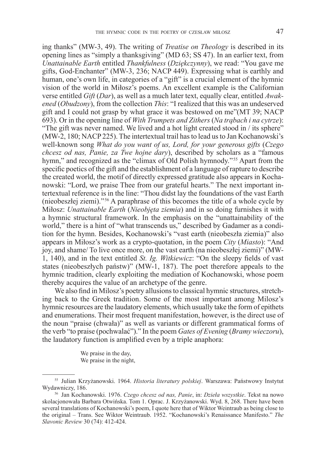ing thanks" (MW-3, 49). The writing of *Treatise on Theology* is described in its opening lines as "simply a thanksgiving" (MD 63; SS 47). In an earlier text, from *Unattainable Earth* entitled *Thankfulness* (*Dziękczynny*), we read: "You gave me gifts, God-Enchanter" (MW-3, 236; NACP 449). Expressing what is earthly and human, one's own life, in categories of a "gift" is a crucial element of the hymnic vision of the world in Miłosz's poems. An excellent example is the Californian verse entitled *Gift* (*Dar*), as well as a much later text, equally clear, entitled *Awakened* (*Obudzony*), from the collection *This*: "I realized that this was an undeserved gift and I could not grasp by what grace it was bestowed on me"(MT 39; NACP 693). Or in the opening line of *With Trumpets and Zithers* (*Na trąbach i na cytrze*): "The gift was never named. We lived and a hot light created stood in / its sphere" (MW-2, 180; NACP 225). The intertextual trail has to lead us to Jan Kochanowski's well-known song *What do you want of us, Lord, for your generous gifts* (*Czego chcesz od nas, Panie, za Twe hojne dary*), described by scholars as a "famous hymn," and recognized as the "climax of Old Polish hymnody."<sup>55</sup> Apart from the specific poetics of the gift and the establishment of a language of rapture to describe the created world, the motif of directly expressed gratitude also appears in Kochanowski: "Lord, we praise Thee from our grateful hearts." The next important intertextual reference is in the line: "Thou didst lay the foundations of the vast Earth (nieobeszłej ziemi)."56 A paraphrase of this becomes the title of a whole cycle by Miłosz: *Unattainable Earth* (*Nieobjęta ziemia*) and in so doing furnishes it with a hymnic structural framework. In the emphasis on the "unattainability of the world," there is a hint of "what transcends us," described by Gadamer as a condition for the hymn. Besides, Kochanowski's "vast earth (nieobeszła ziemia)" also appears in Miłosz's work as a crypto-quotation, in the poem *City* (*Miasto*): "And joy, and shame/ To live once more, on the vast earth (na nieobeszłej ziemi)" (MW-1, 140), and in the text entitled *St. Ig. Witkiewicz*: "On the sleepy fields of vast states (nieobeszłych państw)" (MW-1, 187). The poet therefore appeals to the hymnic tradition, clearly exploiting the mediation of Kochanowski, whose poem thereby acquires the value of an archetype of the genre.

We also find in Milosz's poetry allusions to classical hymnic structures, stretching back to the Greek tradition. Some of the most important among Milosz's hymnic resources are the laudatory elements, which usually take the form of epithets and enumerations. Their most frequent manifestation, however, is the direct use of the noun "praise (chwała)" as well as variants or different grammatical forms of the verb "to praise (pochwalać")." In the poem *Gates of Evening* (*Bramy wieczoru*), the laudatory function is amplified even by a triple anaphora:

> We praise in the day, We praise in the night,

<sup>55</sup> Julian Krzyżanowski. 1964. *Historia literatury polskiej*. Warszawa: Państwowy Instytut Wydawniczy, 186.

<sup>56</sup> Jan Kochanowski. 1976. *Czego chcesz od nas, Panie*, in: *Dzieła wszystkie*. Tekst na nowo skolacjonowała Barbara Otwińska. Tom 1. Oprac. J. Krzyżanowski. Wyd. 8, 268. There have been several translations of Kochanowski's poem, I quote here that of Wiktor Weintraub as being close to the original – Trans. See Wiktor Weintraub. 1952. "Kochanowski's Renaissance Manifesto." *The Slavonic Review* 30 (74): 412-424.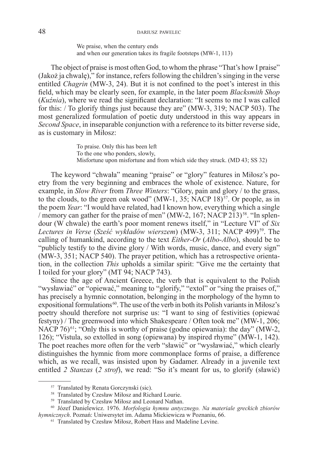We praise, when the century ends and when our generation takes its fragile footsteps (MW-1, 113)

The object of praise is most often God, to whom the phrase "That's how I praise" (Jakoż ja chwalę)," for instance, refers following the children's singing in the verse entitled *Chagrin* (MW-3, 24). But it is not confined to the poet's interest in this field, which may be clearly seen, for example, in the later poem *Blacksmith Shop*  (*Kuźnia*), where we read the significant declaration: "It seems to me I was called for this: / To glorify things just because they are" (MW-3, 319; NACP 503). The most generalized formulation of poetic duty understood in this way appears in *Second Space*, in inseparable conjunction with a reference to its bitter reverse side, as is customary in Miłosz:

> To praise. Only this has been left To the one who ponders, slowly, Misfortune upon misfortune and from which side they struck. (MD 43; SS 32)

The keyword "chwała" meaning "praise" or "glory" features in Miłosz's poetry from the very beginning and embraces the whole of existence. Nature, for example, in *Slow River* from *Three Winters*: "Glory, pain and glory / to the grass, to the clouds, to the green oak wood" (MW-1, 35; NACP 18) $^{57}$ . Or people, as in the poem *Year*: "I would have related, had I known how, everything which a single / memory can gather for the praise of men" (MW-2, 167; NACP 213)<sup>58</sup>. "In splendour (W chwale) the earth's poor moment renews itself," in "Lecture VI" of *Six*  Lectures in Verse (*Sześć wykładów wierszem*) (MW-3, 311; NACP 499)<sup>59</sup>. The calling of humankind, according to the text *Either-Or* (*Albo-Albo*), should be to "publicly testify to the divine glory / With words, music, dance, and every sign" (MW-3, 351; NACP 540). The prayer petition, which has a retrospective orientation, in the collection *This* upholds a similar spirit: "Give me the certainty that I toiled for your glory" (MT 94; NACP 743).

Since the age of Ancient Greece, the verb that is equivalent to the Polish "wysławiać" or "opiewać," meaning to "glorify," "extol" or "sing the praises of," has precisely a hymnic connotation, belonging in the morphology of the hymn to expositional formulations<sup>60</sup>. The use of the verb in both its Polish variants in Miłosz's poetry should therefore not surprise us: "I want to sing of festivities (opiewać festyny) / The greenwood into which Shakespeare / Often took me" (MW-1, 206; NACP  $76$ <sup>61</sup>; "Only this is worthy of praise (godne opiewania): the day" (MW-2, 126); "Vistula, so extolled in song (opiewana) by inspired rhyme" (MW-1, 142). The poet reaches more often for the verb "sławić" or "wysławiać," which clearly distinguishes the hymnic from more commonplace forms of praise, a difference which, as we recall, was insisted upon by Gadamer. Already in a juvenile text entitled *2 Stanzas* (*2 strof*), we read: "So it's meant for us, to glorify (sławić)

<sup>&</sup>lt;sup>57</sup> Translated by Renata Gorczynski (sic).<br><sup>58</sup> Translated by Czesław Miłosz and Richard Lourie.

<sup>59</sup> Translated by Czesław Miłosz and Leonard Nathan.

<sup>60</sup> Józef Danielewicz. 1976. *Morfologia hymnu antycznego. Na materiale greckich zbiorów hymnicznych*. Poznań: Uniwersytet im. Adama Mickiewicza w Poznaniu, 66.

<sup>61</sup> Translated by Czesław Miłosz, Robert Hass and Madeline Levine.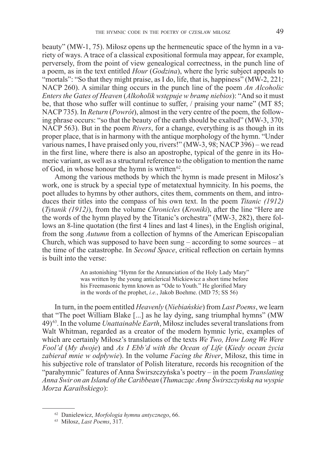beauty" (MW-1, 75). Miłosz opens up the hermeneutic space of the hymn in a variety of ways. A trace of a classical expositional formula may appear, for example, perversely, from the point of view genealogical correctness, in the punch line of a poem, as in the text entitled *Hour* (*Godzina*), where the lyric subject appeals to "mortals": "So that they might praise, as I do, life, that is, happiness" (MW-2, 221; NACP 260). A similar thing occurs in the punch line of the poem *An Alcoholic Enters the Gates of Heaven* (*Alkoholik wstępuje w bramę niebios*): "And so it must be, that those who suffer will continue to suffer, / praising your name" (MT 85; NACP 735). In *Return (Powrót)*, almost in the very centre of the poem, the following phrase occurs: "so that the beauty of the earth should be exalted" (MW-3, 370; NACP 563). But in the poem *Rivers*, for a change, everything is as though in its proper place, that is in harmony with the antique morphology of the hymn. "Under various names, I have praised only you, rivers!" (MW-3, 98; NACP 396) – we read in the first line, where there is also an apostrophe, typical of the genre in its Homeric variant, as well as a structural reference to the obligation to mention the name of God, in whose honour the hymn is written $62$ .

Among the various methods by which the hymn is made present in Miłosz's work, one is struck by a special type of metatextual hymnicity. In his poems, the poet alludes to hymns by other authors, cites them, comments on them, and introduces their titles into the compass of his own text. In the poem *Titanic (1912)*  (*Tytanik (1912)*), from the volume *Chronicles* (*Kroniki*), after the line "Here are the words of the hymn played by the Titanic's orchestra" (MW-3, 282), there follows an 8-line quotation (the first 4 lines and last 4 lines), in the English original, from the song *Autumn* from a collection of hymns of the American Episcopalian Church, which was supposed to have been sung – according to some sources – at the time of the catastrophe. In *Second Space*, critical reflection on certain hymns is built into the verse:

> An astonishing "Hymn for the Annunciation of the Holy Lady Mary" was written by the young anticlerical Mickiewicz a short time before his Freemasonic hymn known as "Ode to Youth." He glorified Mary in the words of the prophet, *i.e.*, Jakob Boehme. (MD 75; SS 56)

In turn, in the poem entitled *Heavenly* (*Niebiańskie*) from *Last Poems*, we learn that "The poet William Blake [...] as he lay dying, sang triumphal hymns" (MW 49) 63. In the volume *Unattainable Earth*, Miłosz includes several translations from Walt Whitman, regarded as a creator of the modern hymnic lyric, examples of which are certainly Miłosz's translations of the texts *We Two, How Long We Were Fool'd* (*My dwoje*) and *As I Ebb'd with the Ocean of Life* (*Kiedy ocean życia zabierał mnie w odpływie*). In the volume *Facing the River*, Miłosz, this time in his subjective role of translator of Polish literature, records his recognition of the "parahymnic" features of Anna Świrszczyńska's poetry – in the poem *Translating Anna Swir on an Island of the Caribbean* (*Tłumacząc Annę Świrszczyńską na wyspie Morza Karaibskiego*):

<sup>62</sup> Danielewicz, *Morfologia hymnu antycznego*, 66.

<sup>63</sup> Miłosz, *Last Poems*, 317.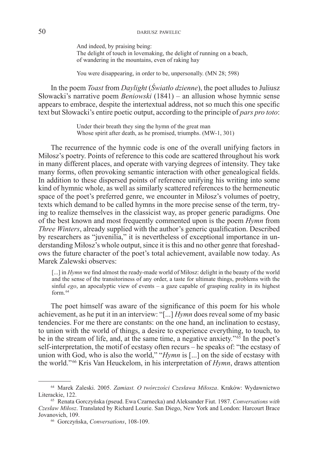And indeed, by praising being: The delight of touch in lovemaking, the delight of running on a beach, of wandering in the mountains, even of raking hay

You were disappearing, in order to be, unpersonally. (MN 28; 598)

In the poem *Toast* from *Daylight* (*Światło dzienne*), the poet alludes to Juliusz Słowacki's narrative poem *Beniowski* (1841) – an allusion whose hymnic sense appears to embrace, despite the intertextual address, not so much this one specific text but Słowacki's entire poetic output, according to the principle of *pars pro toto*:

> Under their breath they sing the hymn of the great man Whose spirit after death, as he promised, triumphs. (MW-1, 301)

The recurrence of the hymnic code is one of the overall unifying factors in Miłosz's poetry. Points of reference to this code are scattered throughout his work in many different places, and operate with varying degrees of intensity. They take many forms, often provoking semantic interaction with other genealogical fields. In addition to these dispersed points of reference unifying his writing into some kind of hymnic whole, as well as similarly scattered references to the hermeneutic space of the poet's preferred genre, we encounter in Miłosz's volumes of poetry, texts which demand to be called hymns in the more precise sense of the term, trying to realize themselves in the classicist way, as proper generic paradigms. One of the best known and most frequently commented upon is the poem *Hymn* from *Three Winters*, already supplied with the author's generic qualification. Described by researchers as "juvenilia," it is nevertheless of exceptional importance in understanding Miłosz's whole output, since it is this and no other genre that foreshadows the future character of the poet's total achievement, available now today. As Marek Zalewski observes:

[...] in *Hymn* we find almost the ready-made world of Miłosz: delight in the beauty of the world and the sense of the transitoriness of any order, a taste for ultimate things, problems with the sinful *ego*, an apocalyptic view of events – a gaze capable of grasping reality in its highest form  $64$ 

The poet himself was aware of the significance of this poem for his whole achievement, as he put it in an interview: "[...] *Hymn* does reveal some of my basic tendencies. For me there are constants: on the one hand, an inclination to ecstasy, to union with the world of things, a desire to experience everything, to touch, to be in the stream of life, and, at the same time, a negative anxiety." <sup>65</sup> In the poet's self-interpretation, the motif of ecstasy often recurs – he speaks of: "the ecstasy of union with God, who is also the world," "*Hymn* is [...] on the side of ecstasy with the world."<sup>66</sup> Kris Van Heuckelom, in his interpretation of *Hymn*, draws attention

<sup>64</sup> Marek Zaleski. 2005. *Zamiast. O twórczości Czesława Miłosza*. Kraków: Wydawnictwo Literackie, 122.

<sup>65</sup> Renata Gorczyńska (pseud. Ewa Czarnecka) and Aleksander Fiut. 1987. *Conversations with Czesław Miłosz*. Translated by Richard Lourie. San Diego, New York and London: Harcourt Brace Jovanovich, 109. 66 Gorczyńska, *Conversations*, 108-109.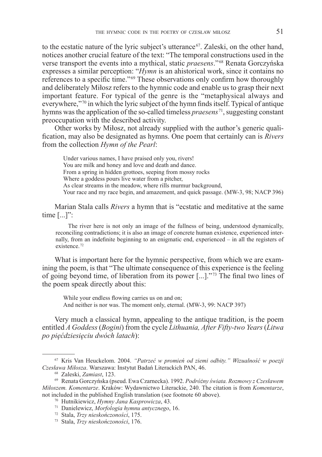to the ecstatic nature of the lyric subject's utterance<sup> $67$ </sup>. Zaleski, on the other hand, notices another crucial feature of the text: "The temporal constructions used in the verse transport the events into a mythical, static *praesens*."<sup>68</sup> Renata Gorczyńska expresses a similar perception: "*Hymn* is an ahistorical work, since it contains no references to a specific time."<sup>69</sup> These observations only confirm how thoroughly and deliberately Miłosz refers to the hymnic code and enable us to grasp their next important feature. For typical of the genre is the "metaphysical always and everywhere,"<sup>70</sup> in which the lyric subject of the hymn finds itself. Typical of antique hymns was the application of the so-called timeless *praesens*<sup>71</sup>, suggesting constant preoccupation with the described activity.

Other works by Miłosz, not already supplied with the author's generic qualification, may also be designated as hymns. One poem that certainly can is *Rivers*  from the collection *Hymn of the Pearl*:

Under various names, I have praised only you, rivers! You are milk and honey and love and death and dance. From a spring in hidden grottoes, seeping from mossy rocks Where a goddess pours live water from a pitcher, As clear streams in the meadow, where rills murmur background, Your race and my race begin, and amazement, and quick passage. (MW-3, 98; NACP 396)

Marian Stala calls *Rivers* a hymn that is "ecstatic and meditative at the same time [...]":

The river here is not only an image of the fullness of being, understood dynamically, reconciling contradictions; it is also an image of concrete human existence, experienced internally, from an indefinite beginning to an enigmatic end, experienced – in all the registers of existence.<sup>72</sup>

What is important here for the hymnic perspective, from which we are examining the poem, is that "The ultimate consequence of this experience is the feeling of going beyond time, of liberation from its power [...]."<sup>73</sup> The final two lines of the poem speak directly about this:

While your endless flowing carries us on and on; And neither is nor was. The moment only, eternal. (MW-3, 99: NACP 397)

Very much a classical hymn, appealing to the antique tradition, is the poem entitled *A Goddess* (*Bogini*) from the cycle *Lithuania, After Fifty-two Years* (*Litwa po pięćdziesięciu dwóch latach*):

<sup>67</sup> Kris Van Heuckelom. 2004. *"Patrzeć w promień od ziemi odbity." Wizualność w poezji Czesława Miłosza*. Warszawa: Instytut Badań Literackich PAN, 46.

<sup>68</sup> Zaleski, *Zamiast*, 123.

<sup>69</sup> Renata Gorczyńska (pseud. Ewa Czarnecka). 1992. *Podróżny świata. Rozmowy z Czesławem Miłoszem. Komentarze*. Kraków: Wydawnictwo Literackie, 240. The citation is from *Komentarze*, not included in the published English translation (see footnote 60 above).

<sup>70</sup> Hutnikiewicz, *Hymny Jana Kasprowicza*, 43.

<sup>71</sup> Danielewicz, *Morfologia hymnu antycznego*, 16.

<sup>72</sup> Stala, *Trzy nieskończoności*, 175.

<sup>73</sup> Stala, *Trzy nieskończoności*, 176.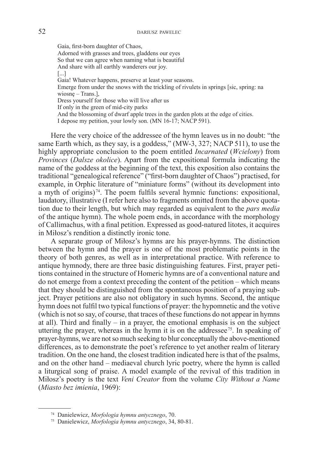Gaia, first-born daughter of Chaos, Adorned with grasses and trees, gladdens our eyes So that we can agree when naming what is beautiful And share with all earthly wanderers our joy. [...] Gaia! Whatever happens, preserve at least your seasons. Emerge from under the snows with the trickling of rivulets in springs [sic, spring: na wiosnę – Trans.], Dress yourself for those who will live after us If only in the green of mid-city parks And the blossoming of dwarf apple trees in the garden plots at the edge of cities. I depose my petition, your lowly son. (MN 16-17; NACP 591).

Here the very choice of the addressee of the hymn leaves us in no doubt: "the same Earth which, as they say, is a goddess," (MW-3, 327; NACP 511), to use the highly appropriate conclusion to the poem entitled *Incarnated* (*Wcielony*) from *Provinces* (*Dalsze okolice*). Apart from the expositional formula indicating the name of the goddess at the beginning of the text, this exposition also contains the traditional "genealogical reference" ("first-born daughter of Chaos") practised, for example, in Orphic literature of "miniature forms" (without its development into a myth of origins)<sup> $74$ </sup>. The poem fulfils several hymnic functions: expositional, laudatory, illustrative (I refer here also to fragments omitted from the above quotation due to their length, but which may regarded as equivalent to the *pars media*  of the antique hymn). The whole poem ends, in accordance with the morphology of Callimachus, with a final petition. Expressed as good-natured litotes, it acquires in Miłosz's rendition a distinctly ironic tone.

A separate group of Miłosz's hymns are his prayer-hymns. The distinction between the hymn and the prayer is one of the most problematic points in the theory of both genres, as well as in interpretational practice. With reference to antique hymnody, there are three basic distinguishing features. First, prayer petitions contained in the structure of Homeric hymns are of a conventional nature and do not emerge from a context preceding the content of the petition – which means that they should be distinguished from the spontaneous position of a praying subject. Prayer petitions are also not obligatory in such hymns. Second, the antique hymn does not fulfil two typical functions of prayer: the hypomnetic and the votive (which is not so say, of course, that traces of these functions do not appear in hymns at all). Third and finally – in a prayer, the emotional emphasis is on the subject uttering the prayer, whereas in the hymn it is on the addressee<sup>75</sup>. In speaking of prayer-hymns, we are not so much seeking to blur conceptually the above-mentioned differences, as to demonstrate the poet's reference to yet another realm of literary tradition. On the one hand, the closest tradition indicated here is that of the psalms, and on the other hand – mediaeval church lyric poetry, where the hymn is called a liturgical song of praise. A model example of the revival of this tradition in Miłosz's poetry is the text *Veni Creator* from the volume *City Without a Name*  (*Miasto bez imienia*, 1969):

<sup>74</sup> Danielewicz, *Morfologia hymnu antycznego*, 70.

<sup>75</sup> Danielewicz, *Morfologia hymnu antycznego*, 34, 80-81.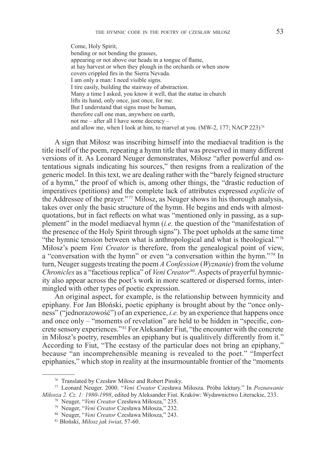Come, Holy Spirit, bending or not bending the grasses, appearing or not above our heads in a tongue of flame, at hay harvest or when they plough in the orchards or when snow covers crippled firs in the Sierra Nevada. I am only a man: I need visible signs. I tire easily, building the stairway of abstraction. Many a time I asked, you know it well, that the statue in church lifts its hand, only once, just once, for me. But I understand that signs must be human, therefore call one man, anywhere on earth, not me – after all I have some decency – and allow me, when I look at him, to marvel at you. (MW-2, 177; NACP 223)<sup>76</sup>

A sign that Miłosz was inscribing himself into the mediaeval tradition is the title itself of the poem, repeating a hymn title that was preserved in many different versions of it. As Leonard Neuger demonstrates, Miłosz "after powerful and ostentatious signals indicating his sources," then resigns from a realization of the generic model. In this text, we are dealing rather with the "barely feigned structure of a hymn," the proof of which is, among other things, the "drastic reduction of imperatives (petitions) and the complete lack of attributes expressed *explicite* of the Addressee of the prayer."<sup>77</sup> Miłosz, as Neuger shows in his thorough analysis, takes over only the basic structure of the hymn. He begins and ends with almostquotations, but in fact reflects on what was "mentioned only in passing, as a supplement" in the model mediaeval hymn (*i.e.* the question of the "manifestation of the presence of the Holy Spirit through signs"). The poet upholds at the same time "the hymnic tension between what is anthropological and what is theological."<sup>78</sup> Miłosz's poem *Veni Creator* is therefore, from the genealogical point of view, a "conversation with the hymn" or even "a conversation within the hymn."<sup>79</sup> In turn, Neuger suggests treating the poem *A Confession* (*Wyznanie*) from the volume *Chronicles* as a "facetious replica" of *Veni Creator* 80. Aspects of prayerful hymnicity also appear across the poet's work in more scattered or dispersed forms, intermingled with other types of poetic expression.

An original aspect, for example, is the relationship between hymnicity and epiphany. For Jan Błoński, poetic epiphany is brought about by the "once onlyness" ("jednorazowość") of an experience, *i.e.* by an experience that happens once and once only – "moments of revelation" are held to be hidden in "specific, concrete sensory experiences." <sup>81</sup> For Aleksander Fiut, "the encounter with the concrete in Miłosz's poetry, resembles an epiphany but is qualitively differently from it." According to Fiut, "The ecstasy of the particular does not bring an epiphany," because "an incomprehensible meaning is revealed to the poet." "Imperfect epiphanies," which stop in reality at the insurmountable frontier of the "moments

<sup>76</sup> Translated by Czesław Miłosz and Robert Pinsky.

<sup>77</sup> Leonard Neuger. 2000. "*Veni Creator* Czesława Miłosza. Próba lektury." In *Poznawanie Miłosza 2. Cz. 1: 1980-1998*, edited by Aleksander Fiut. Kraków: Wydawnictwo Literackie, 233.

<sup>78</sup> Neuger, "*Veni Creator* Czesława Miłosza," 235.

<sup>79</sup> Neuger, "*Veni Creator* Czesława Miłosza," 232.

<sup>80</sup> Neuger, "*Veni Creator* Czesława Miłosza," 243.

<sup>81</sup> Błoński, *Miłosz jak świat*, 57-60.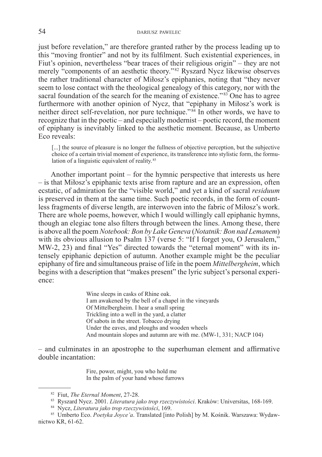just before revelation," are therefore granted rather by the process leading up to this "moving frontier" and not by its fulfilment. Such existential experiences, in Fiut's opinion, nevertheless "bear traces of their religious origin" – they are not merely "components of an aesthetic theory."<sup>82</sup> Ryszard Nycz likewise observes the rather traditional character of Miłosz's epiphanies, noting that "they never seem to lose contact with the theological genealogy of this category, nor with the sacral foundation of the search for the meaning of existence."<sup>83</sup> One has to agree furthermore with another opinion of Nycz, that "epiphany in Miłosz's work is neither direct self-revelation, nor pure technique."<sup>84</sup> In other words, we have to recognize that in the poetic – and especially modernist – poetic record, the moment of epiphany is inevitably linked to the aesthetic moment. Because, as Umberto Eco reveals:

[...] the source of pleasure is no longer the fullness of objective perception, but the subjective choice of a certain trivial moment of experience, its transference into stylistic form, the formulation of a linguistic equivalent of reality.<sup>85</sup>

Another important point – for the hymnic perspective that interests us here – is that Miłosz's epiphanic texts arise from rapture and are an expression, often ecstatic, of admiration for the "visible world," and yet a kind of sacral *residuum*  is preserved in them at the same time. Such poetic records, in the form of countless fragments of diverse length, are interwoven into the fabric of Miłosz's work. There are whole poems, however, which I would willingly call epiphanic hymns, though an elegiac tone also filters through between the lines. Among these, there is above all the poem *Notebook: Bon by Lake Geneva* (*Notatnik: Bon nad Lemanem*) with its obvious allusion to Psalm 137 (verse 5: "If I forget you, O Jerusalem," MW-2, 23) and final "Yes" directed towards the "eternal moment" with its intensely epiphanic depiction of autumn. Another example might be the peculiar epiphany of fire and simultaneous praise of life in the poem *Mittelbergheim*, which begins with a description that "makes present" the lyric subject's personal experience:

> Wine sleeps in casks of Rhine oak. I am awakened by the bell of a chapel in the vineyards Of Mittelbergheim. I hear a small spring Trickling into a well in the yard, a clatter Of sabots in the street. Tobacco drying Under the eaves, and ploughs and wooden wheels And mountain slopes and autumn are with me. (MW-1, 331; NACP 104)

– and culminates in an apostrophe to the superhuman element and affirmative double incantation:

> Fire, power, might, you who hold me In the palm of your hand whose furrows

<sup>82</sup> Fiut, *The Eternal Moment*, 27-28.

<sup>83</sup> Ryszard Nycz. 2001. *Literatura jako trop rzeczywistości*. Kraków: Universitas, 168-169.

<sup>84</sup> Nycz, *Literatura jako trop rzeczywistości*, 169.

<sup>85</sup> Umberto Eco. *Poetyka Joyce'a*. Translated [into Polish] by M. Kośnik. Warszawa: Wydawnictwo KR, 61-62.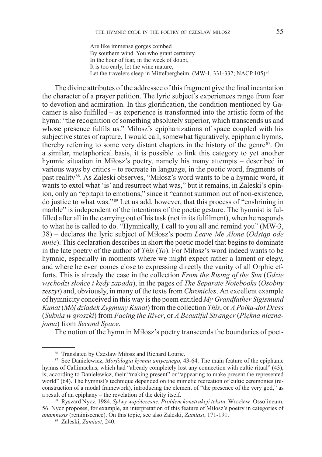Are like immense gorges combed By southern wind. You who grant certainty In the hour of fear, in the week of doubt, It is too early, let the wine mature, Let the travelers sleep in Mittelbergheim. (MW-1, 331-332; NACP 105)<sup>86</sup>

The divine attributes of the addressee of this fragment give the final incantation the character of a prayer petition. The lyric subject's experiences range from fear to devotion and admiration. In this glorification, the condition mentioned by Gadamer is also fulfilled – as experience is transformed into the artistic form of the hymn: "the recognition of something absolutely superior, which transcends us and whose presence fulfils us." Miłosz's epiphanizations of space coupled with his subjective states of rapture, I would call, somewhat figuratively, epiphanic hymns, thereby referring to some very distant chapters in the history of the genre<sup>87</sup>. On a similar, metaphorical basis, it is possible to link this category to yet another hymnic situation in Miłosz's poetry, namely his many attempts – described in various ways by critics – to recreate in language, in the poetic word, fragments of past reality<sup>88</sup>. As Zaleski observes, "Miłosz's word wants to be a hymnic word, it wants to extol what 'is' and resurrect what was," but it remains, in Zaleski's opinion, only an "epitaph to emotions," since it "cannot summon out of non-existence, do justice to what was." <sup>89</sup> Let us add, however, that this process of "enshrining in marble" is independent of the intentions of the poetic gesture. The hymnist is fulfilled after all in the carrying out of his task (not in its fulfilment), when he responds to what he is called to do. "Hymnically, I call to you all and remind you" (MW-3, 38) – declares the lyric subject of Miłosz's poem *Leave Me Alone* (*Odstąp ode mnie*). This declaration describes in short the poetic model that begins to dominate in the late poetry of the author of *This* (*To*). For Miłosz's word indeed wants to be hymnic, especially in moments where we might expect rather a lament or elegy, and where he even comes close to expressing directly the vanity of all Orphic efforts. This is already the case in the collection *From the Rising of the Sun* (*Gdzie wschodzi słońce i kędy zapada*), in the pages of *The Separate Notebooks* (*Osobny zeszyt*) and, obviously, in many of the texts from *Chronicles*. An excellent example of hymnicity conceived in this way is the poem entitled *My Grandfather Sigismund Kunat* (*Mój dziadek Zygmuny Kunat*) from the collection *This*, or *A Polka-dot Dress*  (*Suknia w groszki*) from *Facing the River*, or *A Beautiful Stranger* (*Piękna nieznajoma*) from *Second Space*.

The notion of the hymn in Miłosz's poetry transcends the boundaries of poet-

<sup>86</sup> Translated by Czesław Miłosz and Richard Lourie.

<sup>87</sup> See Danielewicz, *Morfologia hymnu antycznego*, 43-64. The main feature of the epiphanic hymns of Callimachus, which had "already completely lost any connection with cultic ritual" (43), is, according to Danielewicz, their "making present" or "appearing to make present the represented world" (64). The hymnist's technique depended on the mimetic recreation of cultic ceremonies (reconstruction of a modal framework), introducing the element of "the presence of the very god," as <sup>a</sup> result of an epiphany – the revelation of the deity itself. 88 Ryszard Nycz. 1984. *Sylwy współczesne. Problem konstrukcji tekstu*. Wrocław: Ossolineum,

<sup>56.</sup> Nycz proposes, for example, an interpretation of this feature of Miłosz's poetry in categories of *anamnesis* (reminiscence). On this topic, see also Zaleski, *Zamiast*, 171-191.

<sup>89</sup> Zaleski, *Zamiast*, 240.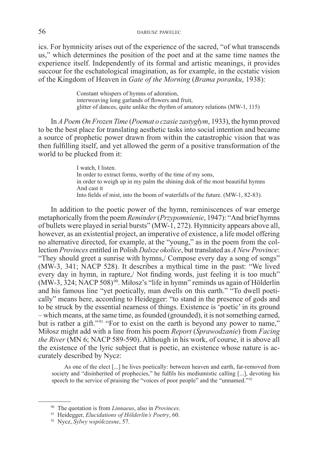ics. For hymnicity arises out of the experience of the sacred, "of what transcends us," which determines the position of the poet and at the same time names the experience itself. Independently of its formal and artistic meanings, it provides succour for the eschatological imagination, as for example, in the ecstatic vision of the Kingdom of Heaven in *Gate of the Morning* (*Brama poranku*, 1938):

> Constant whispers of hymns of adoration, interweaving long garlands of flowers and fruit, glitter of dances, quite unlike the rhythm of amatory relations (MW-1, 115)

In *A Poem On Frozen Time* (*Poemat o czasie zastygłym*, 1933), the hymn proved to be the best place for translating aesthetic tasks into social intention and became a source of prophetic power drawn from within the catastrophic vision that was then fulfilling itself, and yet allowed the germ of a positive transformation of the world to be plucked from it:

> I watch, I listen. In order to extract forms, worthy of the time of my sons, in order to weigh up in my palm the shining disk of the most beautiful hymns And cast it Into fields of mist, into the boom of waterfalls of the future. (MW-1, 82-83).

In addition to the poetic power of the hymn, reminiscences of war emerge metaphorically from the poem *Reminder* (*Przypomnienie*, 1947): "And brief hymns of bullets were played in serial bursts" (MW-1, 272). Hymnicity appears above all, however, as an existential project, an imperative of existence, a life model offering no alternative directed, for example, at the "young," as in the poem from the collection *Provinces* entitled in Polish *Dalsze okolice*, but translated as *A New Province*: "They should greet a sunrise with hymns,/ Compose every day a song of songs" (MW-3, 341; NACP 528). It describes a mythical time in the past: "We lived every day in hymn, in rapture,/ Not finding words, just feeling it is too much"  $(MW-3, 324; NACP 508)^{90}$ . Miłosz's "life in hymn" reminds us again of Hölderlin and his famous line "yet poetically, man dwells on this earth." "To dwell poetically" means here, according to Heidegger: "to stand in the presence of gods and to be struck by the essential nearness of things. Existence is 'poetic' in its ground – which means, at the same time, as founded (grounded), it is not something earned, but is rather a gift."<sup>91</sup> "For to exist on the earth is beyond any power to name," Miłosz might add with a line from his poem *Report* (*Sprawodzanie*) from *Facing the River* (MN 6; NACP 589-590). Although in his work, of course, it is above all the existence of the lyric subject that is poetic, an existence whose nature is accurately described by Nycz:

As one of the elect [...] he lives poetically: between heaven and earth, far-removed from society and "disinherited of prophecies," he fulfils his mediumistic calling [...], devoting his speech to the service of praising the "voices of poor people" and the "unnamed."<sup>92</sup>

<sup>90</sup> The quotation is from *Linnaeus*, also in *Provinces*.

<sup>91</sup> Heidegger, *Elucidations of Hölderlin's Poetry*, 60. 92 Nycz, *Sylwy współczesne*, 57.